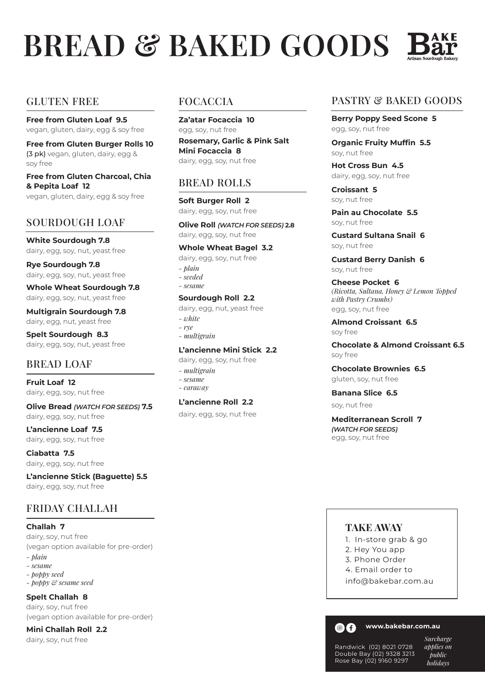# **BREAD & BAKED GOODS** 1

#### GLUTEN FREE

**Free from Gluten Loaf 9.5** vegan, gluten, dairy, egg & soy free

**Free from Gluten Burger Rolls 10** (3 pk) vegan, gluten, dairy, egg & soy free

**Free from Gluten Charcoal, Chia & Pepita Loaf 12** vegan, gluten, dairy, egg & soy free

# SOURDOUGH LOAF

**White Sourdough 7.8** dairy, egg, soy, nut, yeast free

**Rye Sourdough 7.8** dairy, egg, soy, nut, yeast free

**Whole Wheat Sourdough 7.8** dairy, egg, soy, nut, yeast free

**Multigrain Sourdough 7.8** dairy, egg, nut, yeast free

**Spelt Sourdough 8.3** dairy, egg, soy, nut, yeast free

# BREAD LOAF

**Fruit Loaf 12** dairy, egg, soy, nut free

**Olive Bread** *(WATCH FOR SEEDS)* **7.5**  dairy, egg, soy, nut free

**L'ancienne Loaf 7.5** dairy, egg, soy, nut free

**Ciabatta 7.5**  dairy, egg, soy, nut free

**L'ancienne Stick (Baguette) 5.5** dairy, egg, soy, nut free

# FRIDAY CHALLAH

**Challah 7**

dairy, soy, nut free (vegan option available for pre-order)

- *plain*
- *sesame - poppy seed*
- *poppy & sesame seed*

**Spelt Challah 8**

dairy, soy, nut free (vegan option available for pre-order)

**Mini Challah Roll 2.2** 

#### dairy, soy, nut free

#### FOCACCIA

**Za'atar Focaccia 10** egg, soy, nut free **Rosemary, Garlic & Pink Salt Mini Focaccia 8** dairy, egg, soy, nut free

#### BREAD ROLLS

**Soft Burger Roll 2** dairy, egg, soy, nut free

**Olive Roll** *(WATCH FOR SEEDS)* **2.8**  dairy, egg, soy, nut free

#### **Whole Wheat Bagel 3.2**

dairy, egg, soy, nut free

*- plain - seeded - sesame*

#### **Sourdough Roll 2.2**

dairy, egg, nut, yeast free *- white - rye - multigrain*

- *sesame*
- *caraway*

#### **L'ancienne Roll 2.2**

dairy, egg, soy, nut free

#### PASTRY & BAKED GOODS

**Berry Poppy Seed Scone 5** egg, soy, nut free

**Organic Fruity Muffin 5.5** soy, nut free

**Hot Cross Bun 4.5** dairy, egg, soy, nut free

**Croissant 5** soy, nut free

**Pain au Chocolate 5.5** soy, nut free

**Custard Sultana Snail 6** soy, nut free

**Custard Berry Danish 6** soy, nut free

**Cheese Pocket 6** *(Ricotta, Sultana, Honey & Lemon Topped with Pastry Crumbs)* egg, soy, nut free

**Almond Croissant 6.5** soy free

**Chocolate & Almond Croissant 6.5**  soy free

**Chocolate Brownies 6.5** gluten, soy, nut free

**Banana Slice 6.5**

soy, nut free

**Mediterranean Scroll 7**  *(WATCH FOR SEEDS)* egg, soy, nut free

#### **TAKE AWAY**

- 1. In-store grab & go
- 2. Hey You app
- 3. Phone Order
- 4. Email order to
- info@bakebar.com.au



**www.bakebar.com.au**

Randwick (02) 8021 0728 Double Bay (02) 9328 3213 Rose Bay (02) 9160 9297

*Surcharge applies on public holidays*

**L'ancienne Mini Stick 2.2** dairy, egg, soy, nut free *- multigrain*